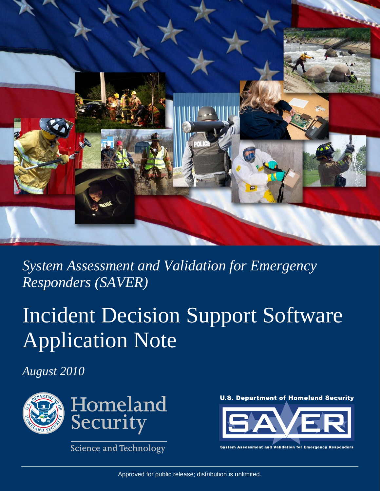

*System Assessment and Validation for Emergency Responders (SAVER)* 

# Incident Decision Support Software Application Note

*August 2010* 



**Science and Technology** 





**Validation for Emergency Responders Assessment and**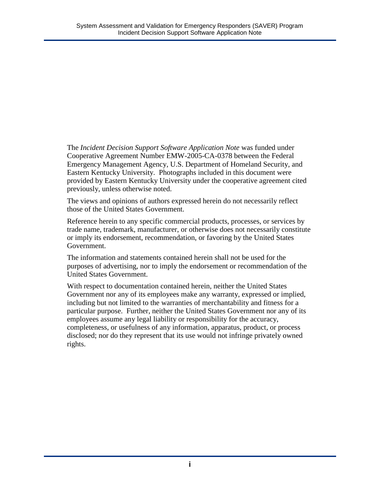The *Incident Decision Support Software Application Note* was funded under Cooperative Agreement Number EMW-2005-CA-0378 between the Federal Emergency Management Agency, U.S. Department of Homeland Security, and Eastern Kentucky University. Photographs included in this document were provided by Eastern Kentucky University under the cooperative agreement cited previously, unless otherwise noted.

The views and opinions of authors expressed herein do not necessarily reflect those of the United States Government.

Reference herein to any specific commercial products, processes, or services by trade name, trademark, manufacturer, or otherwise does not necessarily constitute or imply its endorsement, recommendation, or favoring by the United States Government.

The information and statements contained herein shall not be used for the purposes of advertising, nor to imply the endorsement or recommendation of the United States Government.

With respect to documentation contained herein, neither the United States Government nor any of its employees make any warranty, expressed or implied, including but not limited to the warranties of merchantability and fitness for a particular purpose. Further, neither the United States Government nor any of its employees assume any legal liability or responsibility for the accuracy, completeness, or usefulness of any information, apparatus, product, or process disclosed; nor do they represent that its use would not infringe privately owned rights.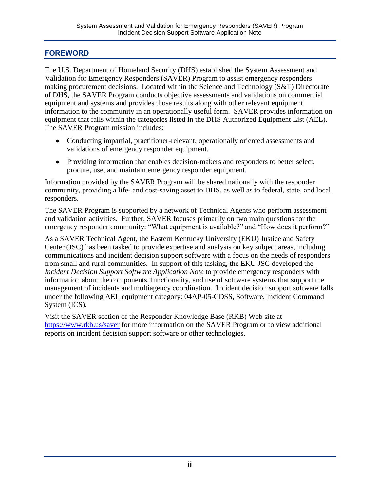#### <span id="page-2-0"></span>**FOREWORD**

The U.S. Department of Homeland Security (DHS) established the System Assessment and Validation for Emergency Responders (SAVER) Program to assist emergency responders making procurement decisions. Located within the Science and Technology (S&T) Directorate of DHS, the SAVER Program conducts objective assessments and validations on commercial equipment and systems and provides those results along with other relevant equipment information to the community in an operationally useful form. SAVER provides information on equipment that falls within the categories listed in the DHS Authorized Equipment List (AEL). The SAVER Program mission includes:

- Conducting impartial, practitioner-relevant, operationally oriented assessments and validations of emergency responder equipment.
- Providing information that enables decision-makers and responders to better select, procure, use, and maintain emergency responder equipment.

Information provided by the SAVER Program will be shared nationally with the responder community, providing a life- and cost-saving asset to DHS, as well as to federal, state, and local responders.

The SAVER Program is supported by a network of Technical Agents who perform assessment and validation activities. Further, SAVER focuses primarily on two main questions for the emergency responder community: "What equipment is available?" and "How does it perform?"

As a SAVER Technical Agent, the Eastern Kentucky University (EKU) Justice and Safety Center (JSC) has been tasked to provide expertise and analysis on key subject areas, including communications and incident decision support software with a focus on the needs of responders from small and rural communities. In support of this tasking, the EKU JSC developed the *Incident Decision Support Software Application Note* to provide emergency responders with information about the components, functionality, and use of software systems that support the management of incidents and multiagency coordination. Incident decision support software falls under the following AEL equipment category: 04AP-05-CDSS, Software, Incident Command System (ICS).

Visit the SAVER section of the Responder Knowledge Base (RKB) Web site at <https://www.rkb.us/saver> for more information on the SAVER Program or to view additional reports on incident decision support software or other technologies.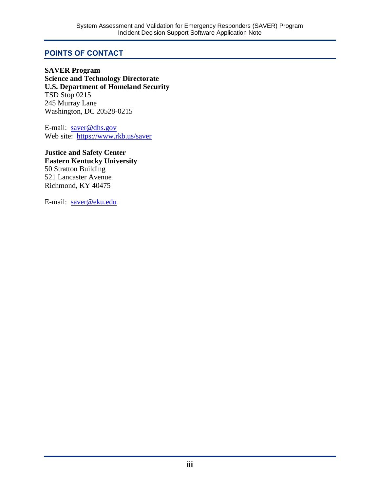#### <span id="page-3-0"></span>**POINTS OF CONTACT**

**SAVER Program Science and Technology Directorate U.S. Department of Homeland Security**  TSD Stop 0215 245 Murray Lane Washington, DC 20528-0215

E-mail: [saver@dhs.gov](mailto:saver@dhs.gov) Web site: <https://www.rkb.us/saver>

**Justice and Safety Center Eastern Kentucky University**  50 Stratton Building 521 Lancaster Avenue Richmond, KY 40475

E-mail: [saver@eku.edu](mailto:saver@eku.edu)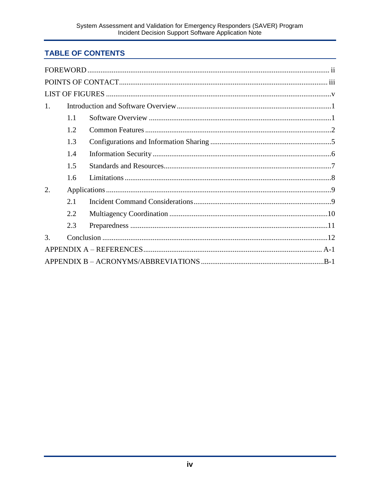## **TABLE OF CONTENTS**

| 1. |     |  |  |  |  |
|----|-----|--|--|--|--|
|    | 1.1 |  |  |  |  |
|    | 1.2 |  |  |  |  |
|    | 1.3 |  |  |  |  |
|    | 14  |  |  |  |  |
|    | 1.5 |  |  |  |  |
|    | 1.6 |  |  |  |  |
| 2. |     |  |  |  |  |
|    | 2.1 |  |  |  |  |
|    | 2.2 |  |  |  |  |
|    | 2.3 |  |  |  |  |
| 3. |     |  |  |  |  |
|    |     |  |  |  |  |
|    |     |  |  |  |  |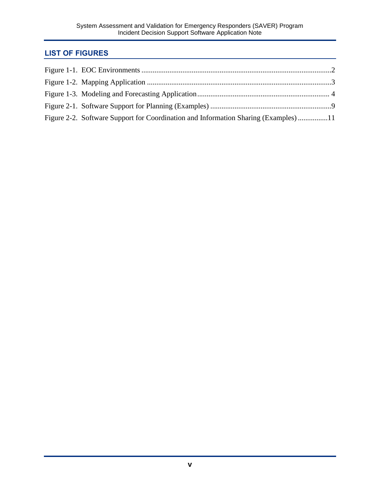## <span id="page-5-0"></span>**LIST OF FIGURES**

| Figure 2-2. Software Support for Coordination and Information Sharing (Examples) 11 |  |
|-------------------------------------------------------------------------------------|--|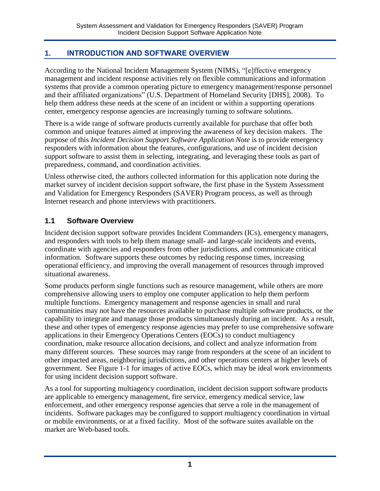## <span id="page-6-0"></span>**1. INTRODUCTION AND SOFTWARE OVERVIEW**

According to the National Incident Management System (NIMS), "[e]ffective emergency management and incident response activities rely on flexible communications and information systems that provide a common operating picture to emergency management/response personnel and their affiliated organizations" (U.S. Department of Homeland Security [DHS], 2008). To help them address these needs at the scene of an incident or within a supporting operations center, emergency response agencies are increasingly turning to software solutions.

There is a wide range of software products currently available for purchase that offer both common and unique features aimed at improving the awareness of key decision makers. The purpose of this *Incident Decision Support Software Application Note* is to provide emergency responders with information about the features, configurations, and use of incident decision support software to assist them in selecting, integrating, and leveraging these tools as part of preparedness, command, and coordination activities.

Unless otherwise cited, the authors collected information for this application note during the market survey of incident decision support software, the first phase in the System Assessment and Validation for Emergency Responders (SAVER) Program process, as well as through Internet research and phone interviews with practitioners.

### <span id="page-6-1"></span>**1.1 Software Overview**

Incident decision support software provides Incident Commanders (ICs), emergency managers, and responders with tools to help them manage small- and large-scale incidents and events, coordinate with agencies and responders from other jurisdictions, and communicate critical information. Software supports these outcomes by reducing response times, increasing operational efficiency, and improving the overall management of resources through improved situational awareness.

Some products perform single functions such as resource management, while others are more comprehensive allowing users to employ one computer application to help them perform multiple functions. Emergency management and response agencies in small and rural communities may not have the resources available to purchase multiple software products, or the capability to integrate and manage those products simultaneously during an incident. As a result, these and other types of emergency response agencies may prefer to use comprehensive software applications in their Emergency Operations Centers (EOCs) to conduct multiagency coordination, make resource allocation decisions, and collect and analyze information from many different sources. These sources may range from responders at the scene of an incident to other impacted areas, neighboring jurisdictions, and other operations centers at higher levels of government. See Figure 1-1 for images of active EOCs, which may be ideal work environments for using incident decision support software.

As a tool for supporting multiagency coordination, incident decision support software products are applicable to emergency management, fire service, emergency medical service, law enforcement, and other emergency response agencies that serve a role in the management of incidents. Software packages may be configured to support multiagency coordination in virtual or mobile environments, or at a fixed facility. Most of the software suites available on the market are Web-based tools.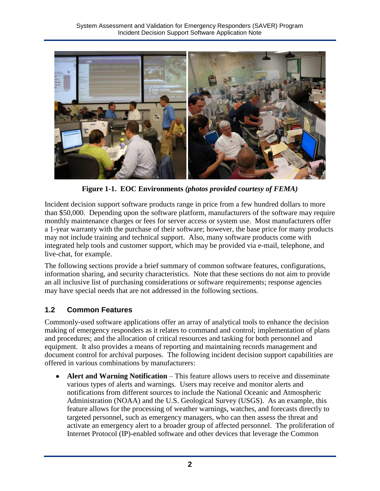<span id="page-7-1"></span>

**Figure 1-1. EOC Environments** *(photos provided courtesy of FEMA)* 

Incident decision support software products range in price from a few hundred dollars to more than \$50,000. Depending upon the software platform, manufacturers of the software may require monthly maintenance charges or fees for server access or system use. Most manufacturers offer a 1-year warranty with the purchase of their software; however, the base price for many products may not include training and technical support. Also, many software products come with integrated help tools and customer support, which may be provided via e-mail, telephone, and live-chat, for example.

The following sections provide a brief summary of common software features, configurations, information sharing, and security characteristics. Note that these sections do not aim to provide an all inclusive list of purchasing considerations or software requirements; response agencies may have special needs that are not addressed in the following sections.

## <span id="page-7-0"></span>**1.2 Common Features**

Commonly-used software applications offer an array of analytical tools to enhance the decision making of emergency responders as it relates to command and control; implementation of plans and procedures; and the allocation of critical resources and tasking for both personnel and equipment. It also provides a means of reporting and maintaining records management and document control for archival purposes. The following incident decision support capabilities are offered in various combinations by manufacturers:

Alert and Warning Notification – This feature allows users to receive and disseminate various types of alerts and warnings. Users may receive and monitor alerts and notifications from different sources to include the National Oceanic and Atmospheric Administration (NOAA) and the U.S. Geological Survey (USGS). As an example, this feature allows for the processing of weather warnings, watches, and forecasts directly to targeted personnel, such as emergency managers, who can then assess the threat and activate an emergency alert to a broader group of affected personnel. The proliferation of Internet Protocol (IP)-enabled software and other devices that leverage the Common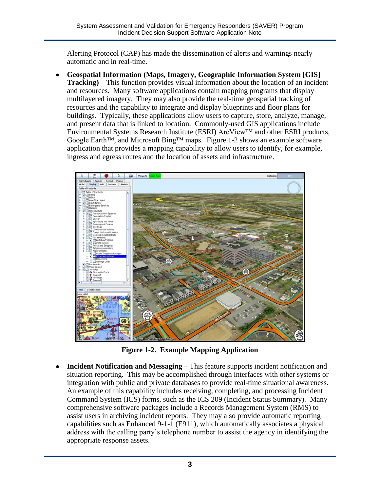<span id="page-8-0"></span>Alerting Protocol (CAP) has made the dissemination of alerts and warnings nearly automatic and in real-time.

**Geospatial Information (Maps, Imagery, Geographic Information System [GIS] Tracking)** – This function provides visual information about the location of an incident and resources. Many software applications contain mapping programs that display multilayered imagery. They may also provide the real-time geospatial tracking of resources and the capability to integrate and display blueprints and floor plans for buildings. Typically, these applications allow users to capture, store, analyze, manage, and present data that is linked to location. Commonly-used GIS applications include Environmental Systems Research Institute (ESRI) ArcView™ and other ESRI products, Google Earth™, and Microsoft Bing™ maps. Figure 1-2 shows an example software application that provides a mapping capability to allow users to identify, for example, ingress and egress routes and the location of assets and infrastructure.



**Figure 1-2. Example Mapping Application**

**Incident Notification and Messaging** – This feature supports incident notification and situation reporting. This may be accomplished through interfaces with other systems or integration with public and private databases to provide real-time situational awareness. An example of this capability includes receiving, completing, and processing Incident Command System (ICS) forms, such as the ICS 209 (Incident Status Summary). Many comprehensive software packages include a Records Management System (RMS) to assist users in archiving incident reports. They may also provide automatic reporting capabilities such as Enhanced 9-1-1 (E911), which automatically associates a physical address with the calling party's telephone number to assist the agency in identifying the appropriate response assets.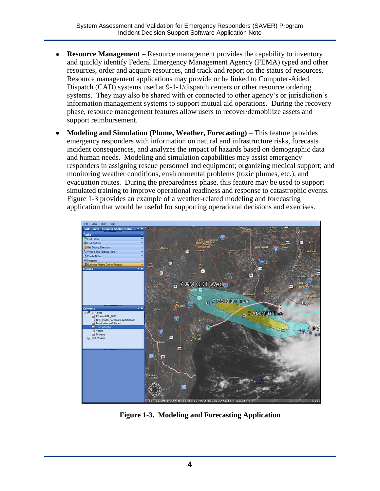- <span id="page-9-0"></span>**Resource Management** – Resource management provides the capability to inventory and quickly identify Federal Emergency Management Agency (FEMA) typed and other resources, order and acquire resources, and track and report on the status of resources. Resource management applications may provide or be linked to Computer-Aided Dispatch (CAD) systems used at 9-1-1/dispatch centers or other resource ordering systems. They may also be shared with or connected to other agency's or jurisdiction's information management systems to support mutual aid operations. During the recovery phase, resource management features allow users to recover/demobilize assets and support reimbursement.
- **Modeling and Simulation (Plume, Weather, Forecasting)** This feature provides emergency responders with information on natural and infrastructure risks, forecasts incident consequences, and analyzes the impact of hazards based on demographic data and human needs. Modeling and simulation capabilities may assist emergency responders in assigning rescue personnel and equipment; organizing medical support; and monitoring weather conditions, environmental problems (toxic plumes, etc.), and evacuation routes. During the preparedness phase, this feature may be used to support simulated training to improve operational readiness and response to catastrophic events. Figure 1-3 provides an example of a weather-related modeling and forecasting application that would be useful for supporting operational decisions and exercises.



 **Figure 1-3. Modeling and Forecasting Application**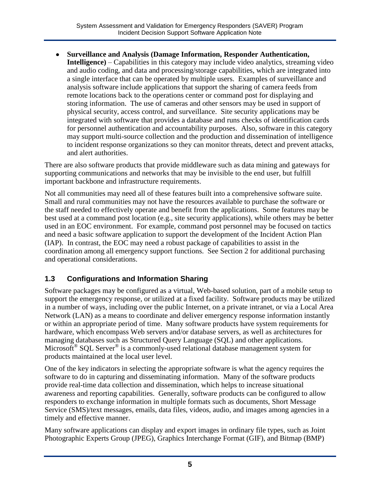**Surveillance and Analysis (Damage Information, Responder Authentication, Intelligence)** – Capabilities in this category may include video analytics, streaming video and audio coding, and data and processing/storage capabilities, which are integrated into a single interface that can be operated by multiple users. Examples of surveillance and analysis software include applications that support the sharing of camera feeds from remote locations back to the operations center or command post for displaying and storing information. The use of cameras and other sensors may be used in support of physical security, access control, and surveillance. Site security applications may be integrated with software that provides a database and runs checks of identification cards for personnel authentication and accountability purposes. Also, software in this category may support multi-source collection and the production and dissemination of intelligence to incident response organizations so they can monitor threats, detect and prevent attacks, and alert authorities.

There are also software products that provide middleware such as data mining and gateways for supporting communications and networks that may be invisible to the end user, but fulfill important backbone and infrastructure requirements.

Not all communities may need all of these features built into a comprehensive software suite. Small and rural communities may not have the resources available to purchase the software or the staff needed to effectively operate and benefit from the applications. Some features may be best used at a command post location (e.g., site security applications), while others may be better used in an EOC environment. For example, command post personnel may be focused on tactics and need a basic software application to support the development of the Incident Action Plan (IAP). In contrast, the EOC may need a robust package of capabilities to assist in the coordination among all emergency support functions. See Section 2 for additional purchasing and operational considerations.

#### <span id="page-10-0"></span>**1.3 Configurations and Information Sharing**

Software packages may be configured as a virtual, Web-based solution, part of a mobile setup to support the emergency response, or utilized at a fixed facility. Software products may be utilized in a number of ways, including over the public Internet, on a private intranet, or via a Local Area Network (LAN) as a means to coordinate and deliver emergency response information instantly or within an appropriate period of time. Many software products have system requirements for hardware, which encompass Web servers and/or database servers, as well as architectures for managing databases such as Structured Query Language (SQL) and other applications. Microsoft<sup>®</sup> SQL Server<sup>®</sup> is a commonly-used relational database management system for products maintained at the local user level.

One of the key indicators in selecting the appropriate software is what the agency requires the software to do in capturing and disseminating information. Many of the software products provide real-time data collection and dissemination, which helps to increase situational awareness and reporting capabilities. Generally, software products can be configured to allow responders to exchange information in multiple formats such as documents, Short Message Service (SMS)/text messages, emails, data files, videos, audio, and images among agencies in a timely and effective manner.

Many software applications can display and export images in ordinary file types, such as Joint Photographic Experts Group (JPEG), Graphics Interchange Format (GIF), and Bitmap (BMP)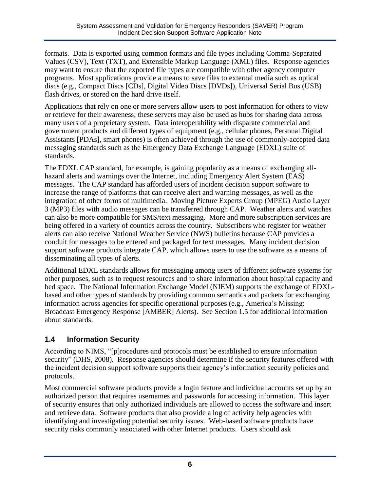formats. Data is exported using common formats and file types including Comma-Separated Values (CSV), Text (TXT), and Extensible Markup Language (XML) files. Response agencies may want to ensure that the exported file types are compatible with other agency computer programs. Most applications provide a means to save files to external media such as optical discs (e.g., Compact Discs [CDs], Digital Video Discs [DVDs]), Universal Serial Bus (USB) flash drives, or stored on the hard drive itself.

Applications that rely on one or more servers allow users to post information for others to view or retrieve for their awareness; these servers may also be used as hubs for sharing data across many users of a proprietary system. Data interoperability with disparate commercial and government products and different types of equipment (e.g., cellular phones, Personal Digital Assistants [PDAs], smart phones) is often achieved through the use of commonly-accepted data messaging standards such as the Emergency Data Exchange Language (EDXL) suite of standards.

The EDXL CAP standard, for example, is gaining popularity as a means of exchanging allhazard alerts and warnings over the Internet, including Emergency Alert System (EAS) messages. The CAP standard has afforded users of incident decision support software to increase the range of platforms that can receive alert and warning messages, as well as the integration of other forms of multimedia. Moving Picture Experts Group (MPEG) Audio Layer 3 (MP3) files with audio messages can be transferred through CAP. Weather alerts and watches can also be more compatible for SMS/text messaging. More and more subscription services are being offered in a variety of counties across the country. Subscribers who register for weather alerts can also receive National Weather Service (NWS) bulletins because CAP provides a conduit for messages to be entered and packaged for text messages. Many incident decision support software products integrate CAP, which allows users to use the software as a means of disseminating all types of alerts.

Additional EDXL standards allows for messaging among users of different software systems for other purposes, such as to request resources and to share information about hospital capacity and bed space. The National Information Exchange Model (NIEM) supports the exchange of EDXLbased and other types of standards by providing common semantics and packets for exchanging information across agencies for specific operational purposes (e.g., America's Missing: Broadcast Emergency Response [AMBER] Alerts). See Section 1.5 for additional information about standards.

#### <span id="page-11-0"></span>**1.4 Information Security**

According to NIMS, "[p]rocedures and protocols must be established to ensure information security" (DHS, 2008). Response agencies should determine if the security features offered with the incident decision support software supports their agency's information security policies and protocols.

Most commercial software products provide a login feature and individual accounts set up by an authorized person that requires usernames and passwords for accessing information. This layer of security ensures that only authorized individuals are allowed to access the software and insert and retrieve data. Software products that also provide a log of activity help agencies with identifying and investigating potential security issues. Web-based software products have security risks commonly associated with other Internet products. Users should ask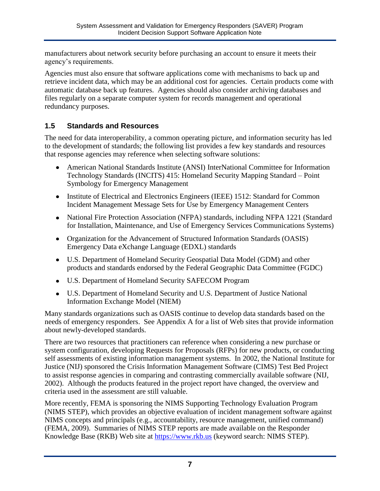manufacturers about network security before purchasing an account to ensure it meets their agency's requirements.

Agencies must also ensure that software applications come with mechanisms to back up and retrieve incident data, which may be an additional cost for agencies. Certain products come with automatic database back up features. Agencies should also consider archiving databases and files regularly on a separate computer system for records management and operational redundancy purposes.

#### <span id="page-12-0"></span>**1.5 Standards and Resources**

The need for data interoperability, a common operating picture, and information security has led to the development of standards; the following list provides a few key standards and resources that response agencies may reference when selecting software solutions:

- American National Standards Institute (ANSI) InterNational Committee for Information Technology Standards (INCITS) 415: Homeland Security Mapping Standard – Point Symbology for Emergency Management
- Institute of Electrical and Electronics Engineers (IEEE) 1512: Standard for Common Incident Management Message Sets for Use by Emergency Management Centers
- National Fire Protection Association (NFPA) standards, including NFPA 1221 (Standard for Installation, Maintenance, and Use of Emergency Services Communications Systems)
- Organization for the Advancement of Structured Information Standards (OASIS) Emergency Data eXchange Language (EDXL) standards
- U.S. Department of Homeland Security Geospatial Data Model (GDM) and other products and standards endorsed by the Federal Geographic Data Committee (FGDC)
- U.S. Department of Homeland Security SAFECOM Program
- U.S. Department of Homeland Security and U.S. Department of Justice National Information Exchange Model (NIEM)

Many standards organizations such as OASIS continue to develop data standards based on the needs of emergency responders. See Appendix A for a list of Web sites that provide information about newly-developed standards.

There are two resources that practitioners can reference when considering a new purchase or system configuration, developing Requests for Proposals (RFPs) for new products, or conducting self assessments of existing information management systems. In 2002, the National Institute for Justice (NIJ) sponsored the Crisis Information Management Software (CIMS) Test Bed Project to assist response agencies in comparing and contrasting commercially available software (NIJ, 2002). Although the products featured in the project report have changed, the overview and criteria used in the assessment are still valuable.

More recently, FEMA is sponsoring the NIMS Supporting Technology Evaluation Program (NIMS STEP), which provides an objective evaluation of incident management software against NIMS concepts and principals (e.g., accountability, resource management, unified command) (FEMA, 2009). Summaries of NIMS STEP reports are made available on the Responder Knowledge Base (RKB) Web site at [https://www.rkb.us](https://www.rkb.us/search.cfm?typeid=8) (keyword search: NIMS STEP).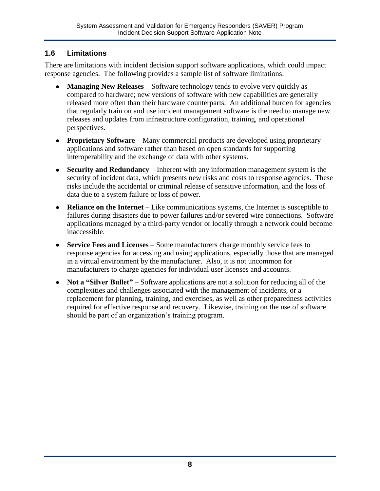#### <span id="page-13-0"></span>**1.6 Limitations**

There are limitations with incident decision support software applications, which could impact response agencies. The following provides a sample list of software limitations.

- **Managing New Releases** Software technology tends to evolve very quickly as compared to hardware; new versions of software with new capabilities are generally released more often than their hardware counterparts. An additional burden for agencies that regularly train on and use incident management software is the need to manage new releases and updates from infrastructure configuration, training, and operational perspectives.
- **Proprietary Software** Many commercial products are developed using proprietary applications and software rather than based on open standards for supporting interoperability and the exchange of data with other systems.
- **Security and Redundancy** Inherent with any information management system is the security of incident data, which presents new risks and costs to response agencies. These risks include the accidental or criminal release of sensitive information, and the loss of data due to a system failure or loss of power.
- **Reliance on the Internet** Like communications systems, the Internet is susceptible to failures during disasters due to power failures and/or severed wire connections. Software applications managed by a third-party vendor or locally through a network could become inaccessible.
- **Service Fees and Licenses** Some manufacturers charge monthly service fees to response agencies for accessing and using applications, especially those that are managed in a virtual environment by the manufacturer. Also, it is not uncommon for manufacturers to charge agencies for individual user licenses and accounts.
- **Not a "Silver Bullet"** Software applications are not a solution for reducing all of the complexities and challenges associated with the management of incidents, or a replacement for planning, training, and exercises, as well as other preparedness activities required for effective response and recovery. Likewise, training on the use of software should be part of an organization's training program.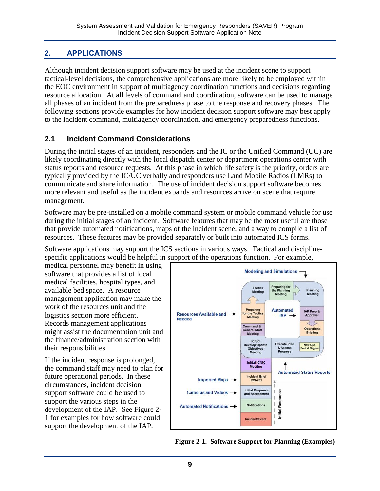## <span id="page-14-2"></span><span id="page-14-0"></span>**2. APPLICATIONS**

Although incident decision support software may be used at the incident scene to support tactical-level decisions, the comprehensive applications are more likely to be employed within the EOC environment in support of multiagency coordination functions and decisions regarding resource allocation. At all levels of command and coordination, software can be used to manage all phases of an incident from the preparedness phase to the response and recovery phases. The following sections provide examples for how incident decision support software may best apply to the incident command, multiagency coordination, and emergency preparedness functions.

### <span id="page-14-1"></span>**2.1 Incident Command Considerations**

During the initial stages of an incident, responders and the IC or the Unified Command (UC) are likely coordinating directly with the local dispatch center or department operations center with status reports and resource requests. At this phase in which life safety is the priority, orders are typically provided by the IC/UC verbally and responders use Land Mobile Radios (LMRs) to communicate and share information. The use of incident decision support software becomes more relevant and useful as the incident expands and resources arrive on scene that require management.

Software may be pre-installed on a mobile command system or mobile command vehicle for use during the initial stages of an incident. Software features that may be the most useful are those that provide automated notifications, maps of the incident scene, and a way to compile a list of resources. These features may be provided separately or built into automated ICS forms.

Software applications may support the ICS sections in various ways. Tactical and disciplinespecific applications would be helpful in support of the operations function. For example,

medical personnel may benefit in using software that provides a list of local medical facilities, hospital types, and available bed space. A resource management application may make the work of the resources unit and the logistics section more efficient. Records management applications might assist the documentation unit and the finance/administration section with their responsibilities.

If the incident response is prolonged, the command staff may need to plan for future operational periods. In these circumstances, incident decision support software could be used to support the various steps in the development of the IAP. See Figure 2- 1 for examples for how software could support the development of the IAP.



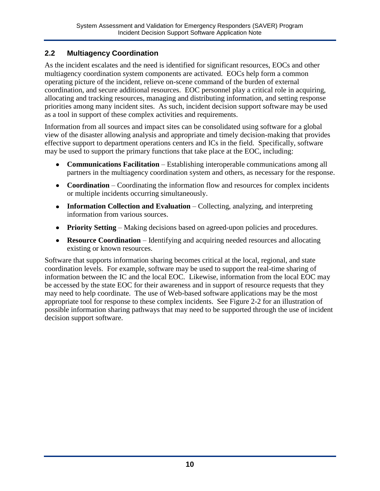#### <span id="page-15-0"></span>**2.2 Multiagency Coordination**

As the incident escalates and the need is identified for significant resources, EOCs and other multiagency coordination system components are activated. EOCs help form a common operating picture of the incident, relieve on-scene command of the burden of external coordination, and secure additional resources. EOC personnel play a critical role in acquiring, allocating and tracking resources, managing and distributing information, and setting response priorities among many incident sites. As such, incident decision support software may be used as a tool in support of these complex activities and requirements.

Information from all sources and impact sites can be consolidated using software for a global view of the disaster allowing analysis and appropriate and timely decision-making that provides effective support to department operations centers and ICs in the field. Specifically, software may be used to support the primary functions that take place at the EOC, including:

- **Communications Facilitation** Establishing interoperable communications among all partners in the multiagency coordination system and others, as necessary for the response.
- **Coordination** Coordinating the information flow and resources for complex incidents or multiple incidents occurring simultaneously.
- **Information Collection and Evaluation** Collecting, analyzing, and interpreting information from various sources.
- **Priority Setting** Making decisions based on agreed-upon policies and procedures.
- **Resource Coordination** Identifying and acquiring needed resources and allocating existing or known resources.

Software that supports information sharing becomes critical at the local, regional, and state coordination levels. For example, software may be used to support the real-time sharing of information between the IC and the local EOC. Likewise, information from the local EOC may be accessed by the state EOC for their awareness and in support of resource requests that they may need to help coordinate. The use of Web-based software applications may be the most appropriate tool for response to these complex incidents. See Figure 2-2 for an illustration of possible information sharing pathways that may need to be supported through the use of incident decision support software.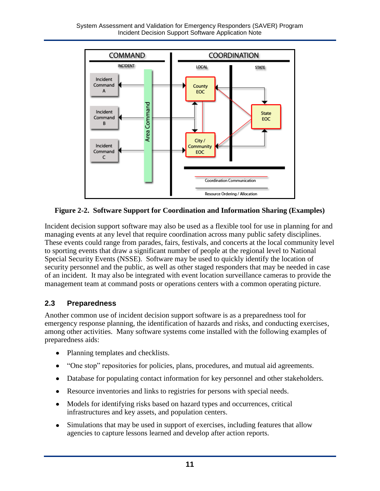<span id="page-16-1"></span>

**Figure 2-2. Software Support for Coordination and Information Sharing (Examples)** 

Incident decision support software may also be used as a flexible tool for use in planning for and managing events at any level that require coordination across many public safety disciplines. These events could range from parades, fairs, festivals, and concerts at the local community level to sporting events that draw a significant number of people at the regional level to National Special Security Events (NSSE). Software may be used to quickly identify the location of security personnel and the public, as well as other staged responders that may be needed in case of an incident. It may also be integrated with event location surveillance cameras to provide the management team at command posts or operations centers with a common operating picture.

## <span id="page-16-0"></span>**2.3 Preparedness**

Another common use of incident decision support software is as a preparedness tool for emergency response planning, the identification of hazards and risks, and conducting exercises, among other activities. Many software systems come installed with the following examples of preparedness aids:

- Planning templates and checklists.
- "One stop" repositories for policies, plans, procedures, and mutual aid agreements.
- Database for populating contact information for key personnel and other stakeholders.
- Resource inventories and links to registries for persons with special needs.
- Models for identifying risks based on hazard types and occurrences, critical infrastructures and key assets, and population centers.
- Simulations that may be used in support of exercises, including features that allow  $\bullet$ agencies to capture lessons learned and develop after action reports.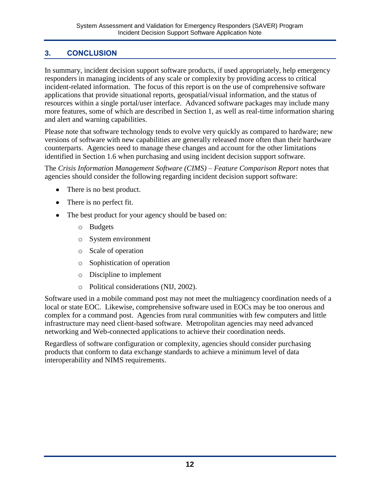## <span id="page-17-0"></span>**3. CONCLUSION**

In summary, incident decision support software products, if used appropriately, help emergency responders in managing incidents of any scale or complexity by providing access to critical incident-related information. The focus of this report is on the use of comprehensive software applications that provide situational reports, geospatial/visual information, and the status of resources within a single portal/user interface. Advanced software packages may include many more features, some of which are described in Section 1, as well as real-time information sharing and alert and warning capabilities.

Please note that software technology tends to evolve very quickly as compared to hardware; new versions of software with new capabilities are generally released more often than their hardware counterparts. Agencies need to manage these changes and account for the other limitations identified in Section 1.6 when purchasing and using incident decision support software.

The *Crisis Information Management Software (CIMS) – Feature Comparison Report* notes that agencies should consider the following regarding incident decision support software:

- There is no best product.
- There is no perfect fit.
- The best product for your agency should be based on:
	- o Budgets
	- o System environment
	- o Scale of operation
	- o Sophistication of operation
	- o Discipline to implement
	- o Political considerations (NIJ, 2002).

Software used in a mobile command post may not meet the multiagency coordination needs of a local or state EOC. Likewise, comprehensive software used in EOCs may be too onerous and complex for a command post. Agencies from rural communities with few computers and little infrastructure may need client-based software. Metropolitan agencies may need advanced networking and Web-connected applications to achieve their coordination needs.

Regardless of software configuration or complexity, agencies should consider purchasing products that conform to data exchange standards to achieve a minimum level of data interoperability and NIMS requirements.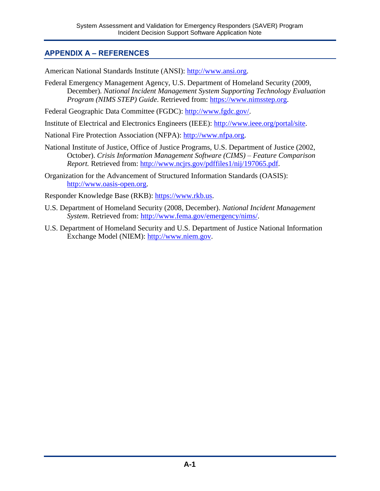### <span id="page-18-0"></span>**APPENDIX A – REFERENCES**

American National Standards Institute (ANSI): [http://www.ansi.org.](http://www.ansi.org/)

Federal Emergency Management Agency, U.S. Department of Homeland Security (2009, December). *National Incident Management System Supporting Technology Evaluation Program (NIMS STEP) Guide*. Retrieved from: [https://www.nimsstep.org.](https://www.nimsstep.org/)

Federal Geographic Data Committee (FGDC): [http://www.fgdc.gov/.](http://www.fgdc.gov/)

Institute of Electrical and Electronics Engineers (IEEE): [http://www.ieee.org/portal/site.](http://www.ieee.org/portal/site)

National Fire Protection Association (NFPA): [http://www.nfpa.org.](http://www.nfpa.org/)

- National Institute of Justice, Office of Justice Programs, U.S. Department of Justice (2002, October). *Crisis Information Management Software (CIMS) – Feature Comparison Report.* Retrieved from: [http://www.ncjrs.gov/pdffiles1/nij/197065.pdf.](http://www.ncjrs.gov/pdffiles1/nij/197065.pdf)
- Organization for the Advancement of Structured Information Standards (OASIS): [http://www.oasis-open.org.](http://www.oasis-open.org/)

Responder Knowledge Base (RKB): [https://www.rkb.us.](https://www.rkb.us/)

- U.S. Department of Homeland Security (2008, December). *National Incident Management System*. Retrieved from: [http://www.fema.gov/emergency/nims/.](http://www.fema.gov/emergency/nims/)
- U.S. Department of Homeland Security and U.S. Department of Justice National Information Exchange Model (NIEM): [http://www.niem.gov.](http://www.niem.gov/)